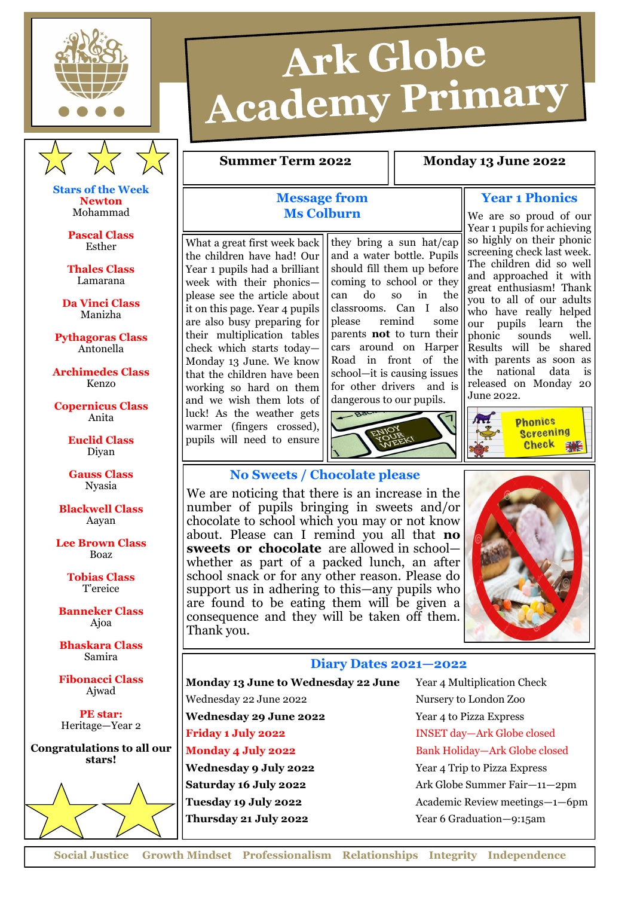



**Stars of the Week Newton** Mohammad

> **Pascal Class** Esther

**Thales Class** Lamarana

**Da Vinci Class** Manizha

**Pythagoras Class** Antonella

**Archimedes Class** Kenzo

**Copernicus Class** Anita

> **Euclid Class** Diyan

**Gauss Class** Nyasia

**Blackwell Class** Aayan

**Lee Brown Class** Boaz

> **Tobias Class** T'ereice

**Banneker Class** Ajoa

**Bhaskara Class** Samira

**Fibonacci Class** Ajwad

**PE star:** Heritage—Year 2

**Congratulations to all our stars!** 



# Ark Globe **Academy Primary**

#### **Summer Term 2022 1.8 Monday 13 June 2022**

## **Message from Ms Colburn**

What a great first week back the children have had! Our Year 1 pupils had a brilliant week with their phonics please see the article about it on this page. Year 4 pupils are also busy preparing for their multiplication tables check which starts today— Monday 13 June. We know that the children have been working so hard on them and we wish them lots of luck! As the weather gets warmer (fingers crossed), pupils will need to ensure

they bring a sun hat/cap and a water bottle. Pupils should fill them up before coming to school or they can do so in the classrooms. Can I also please remind some parents **not** to turn their cars around on Harper Road in front of the school—it is causing issues for other drivers and is dangerous to our pupils.



**Year 1 Phonics**

We are so proud of our Year 1 pupils for achieving so highly on their phonic screening check last week. The children did so well and approached it with great enthusiasm! Thank you to all of our adults who have really helped our pupils learn the phonic sounds well. Results will be shared with parents as soon as<br>the national data is the national data released on Monday 20 June 2022.



## **No Sweets / Chocolate please**

We are noticing that there is an increase in the number of pupils bringing in sweets and/or chocolate to school which you may or not know about. Please can I remind you all that **no sweets or chocolate** are allowed in school whether as part of a packed lunch, an after school snack or for any other reason. Please do support us in adhering to this—any pupils who are found to be eating them will be given a consequence and they will be taken off them. Thank you.



#### **Diary Dates 2021—2022**

**Monday 13 June to Wednesday 22 June** Year 4 Multiplication Check

Wednesday 22 June 2022 Nursery to London Zoo **Wednesday 29 June 2022** Year 4 to Pizza Express

**Friday 1 July 2022** INSET day—Ark Globe closed **Monday 4 July 2022** Bank Holiday-Ark Globe closed **Wednesday 9 July 2022** Year 4 Trip to Pizza Express **Saturday 16 July 2022** Ark Globe Summer Fair—11—2pm **Tuesday 19 July 2022** Academic Review meetings—1—6pm **Thursday 21 July 2022** Year 6 Graduation—9:15am

**Social Justice Growth Mindset Professionalism Relationships Integrity Independence**